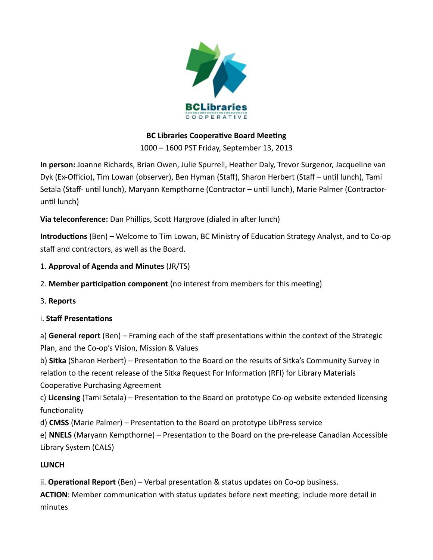

### **BC Libraries Cooperative Board Meeting**

1000 – 1600 PST Friday, September 13, 2013

**In person:** Joanne Richards, Brian Owen, Julie Spurrell, Heather Daly, Trevor Surgenor, Jacqueline van Dyk (Ex-Officio), Tim Lowan (observer), Ben Hyman (Staff), Sharon Herbert (Staff – until lunch), Tami Setala (Staff- until lunch), Maryann Kempthorne (Contractor – until lunch), Marie Palmer (Contractoruntil lunch)

**Via teleconference:** Dan Phillips, Scott Hargrove (dialed in after lunch)

**Introductions** (Ben) – Welcome to Tim Lowan, BC Ministry of Education Strategy Analyst, and to Co-op staff and contractors, as well as the Board.

- 1. **Approval of Agenda and Minutes** (JR/TS)
- 2. **Member participation component** (no interest from members for this meeting)
- 3. **Reports**

### i. **Staff Presentations**

a) **General report** (Ben) – Framing each of the staff presentations within the context of the Strategic Plan, and the Co-op's Vision, Mission & Values

b) **Sitka** (Sharon Herbert) – Presentation to the Board on the results of Sitka's Community Survey in relation to the recent release of the Sitka Request For Information (RFI) for Library Materials Cooperative Purchasing Agreement

c) **Licensing** (Tami Setala) – Presentation to the Board on prototype Co-op website extended licensing functionality

d) **CMSS** (Marie Palmer) – Presentation to the Board on prototype LibPress service

e) **NNELS** (Maryann Kempthorne) – Presentation to the Board on the pre-release Canadian Accessible Library System (CALS)

# **LUNCH**

ii. **Operational Report** (Ben) – Verbal presentation & status updates on Co-op business.

**ACTION**: Member communication with status updates before next meeting; include more detail in minutes